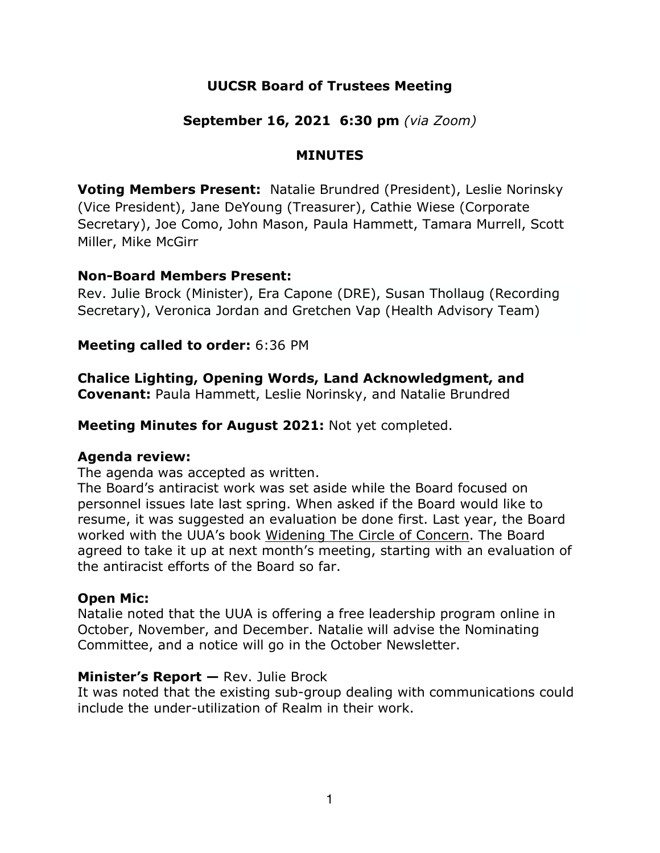# **UUCSR Board of Trustees Meeting**

## **September 16, 2021 6:30 pm** *(via Zoom)*

#### **MINUTES**

**Voting Members Present:** Natalie Brundred (President), Leslie Norinsky (Vice President), Jane DeYoung (Treasurer), Cathie Wiese (Corporate Secretary), Joe Como, John Mason, Paula Hammett, Tamara Murrell, Scott Miller, Mike McGirr

#### **Non-Board Members Present:**

Rev. Julie Brock (Minister), Era Capone (DRE), Susan Thollaug (Recording Secretary), Veronica Jordan and Gretchen Vap (Health Advisory Team)

#### **Meeting called to order:** 6:36 PM

**Chalice Lighting, Opening Words, Land Acknowledgment, and Covenant:** Paula Hammett, Leslie Norinsky, and Natalie Brundred

**Meeting Minutes for August 2021:** Not yet completed.

#### **Agenda review:**

The agenda was accepted as written.

The Board's antiracist work was set aside while the Board focused on personnel issues late last spring. When asked if the Board would like to resume, it was suggested an evaluation be done first. Last year, the Board worked with the UUA's book Widening The Circle of Concern. The Board agreed to take it up at next month's meeting, starting with an evaluation of the antiracist efforts of the Board so far.

#### **Open Mic:**

Natalie noted that the UUA is offering a free leadership program online in October, November, and December. Natalie will advise the Nominating Committee, and a notice will go in the October Newsletter.

#### **Minister's Report —** Rev. Julie Brock

It was noted that the existing sub-group dealing with communications could include the under-utilization of Realm in their work.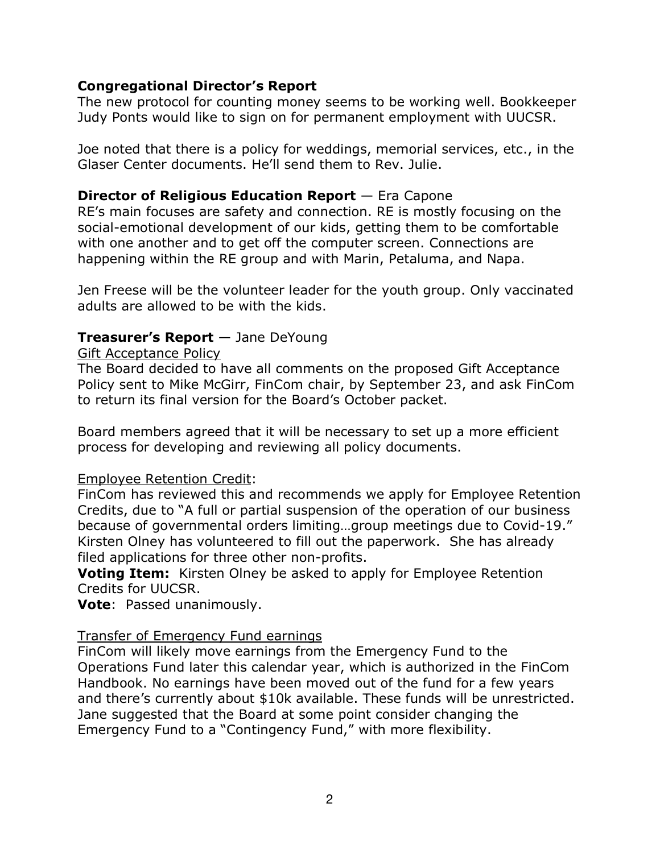## **Congregational Director's Report**

The new protocol for counting money seems to be working well. Bookkeeper Judy Ponts would like to sign on for permanent employment with UUCSR.

Joe noted that there is a policy for weddings, memorial services, etc., in the Glaser Center documents. He'll send them to Rev. Julie.

## **Director of Religious Education Report** — Era Capone

RE's main focuses are safety and connection. RE is mostly focusing on the social-emotional development of our kids, getting them to be comfortable with one another and to get off the computer screen. Connections are happening within the RE group and with Marin, Petaluma, and Napa.

Jen Freese will be the volunteer leader for the youth group. Only vaccinated adults are allowed to be with the kids.

## **Treasurer's Report** — Jane DeYoung

#### Gift Acceptance Policy

The Board decided to have all comments on the proposed Gift Acceptance Policy sent to Mike McGirr, FinCom chair, by September 23, and ask FinCom to return its final version for the Board's October packet.

Board members agreed that it will be necessary to set up a more efficient process for developing and reviewing all policy documents.

#### Employee Retention Credit:

FinCom has reviewed this and recommends we apply for Employee Retention Credits, due to "A full or partial suspension of the operation of our business because of governmental orders limiting…group meetings due to Covid-19." Kirsten Olney has volunteered to fill out the paperwork. She has already filed applications for three other non-profits.

**Voting Item:** Kirsten Olney be asked to apply for Employee Retention Credits for UUCSR.

**Vote**: Passed unanimously.

#### Transfer of Emergency Fund earnings

FinCom will likely move earnings from the Emergency Fund to the Operations Fund later this calendar year, which is authorized in the FinCom Handbook. No earnings have been moved out of the fund for a few years and there's currently about \$10k available. These funds will be unrestricted. Jane suggested that the Board at some point consider changing the Emergency Fund to a "Contingency Fund," with more flexibility.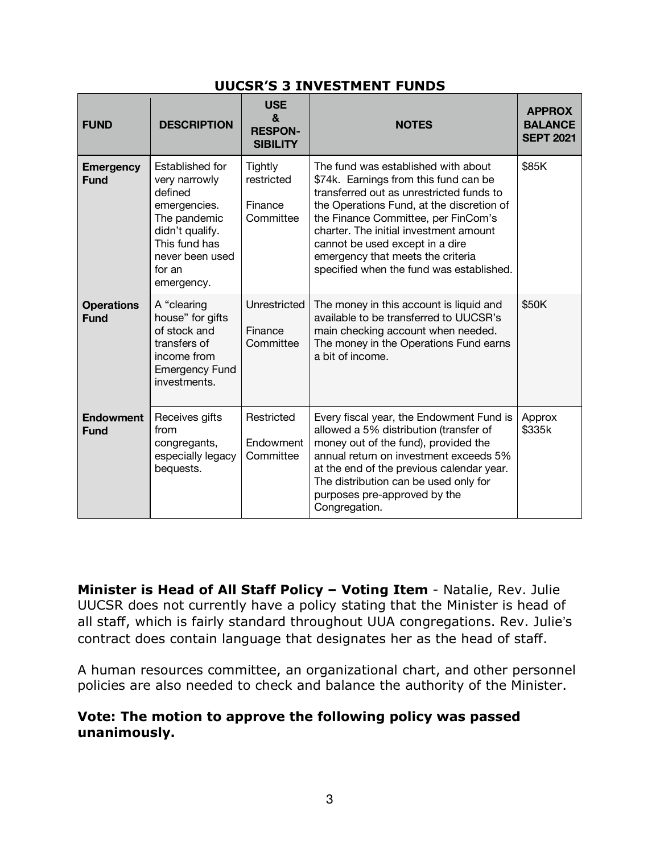#### **UUCSR'S 3 INVESTMENT FUNDS**

| <b>FUND</b>                      | <b>DESCRIPTION</b>                                                                                                                                         | <b>USE</b><br>&<br><b>RESPON-</b><br><b>SIBILITY</b> | <b>NOTES</b>                                                                                                                                                                                                                                                                                                                                                               | <b>APPROX</b><br><b>BALANCE</b><br><b>SEPT 2021</b> |
|----------------------------------|------------------------------------------------------------------------------------------------------------------------------------------------------------|------------------------------------------------------|----------------------------------------------------------------------------------------------------------------------------------------------------------------------------------------------------------------------------------------------------------------------------------------------------------------------------------------------------------------------------|-----------------------------------------------------|
| <b>Emergency</b><br><b>Fund</b>  | Established for<br>very narrowly<br>defined<br>emergencies.<br>The pandemic<br>didn't qualify.<br>This fund has<br>never been used<br>for an<br>emergency. | Tightly<br>restricted<br>Finance<br>Committee        | The fund was established with about<br>\$74k. Earnings from this fund can be<br>transferred out as unrestricted funds to<br>the Operations Fund, at the discretion of<br>the Finance Committee, per FinCom's<br>charter. The initial investment amount<br>cannot be used except in a dire<br>emergency that meets the criteria<br>specified when the fund was established. | \$85K                                               |
| <b>Operations</b><br><b>Fund</b> | A "clearing<br>house" for gifts<br>of stock and<br>transfers of<br>income from<br><b>Emergency Fund</b><br>investments.                                    | Unrestricted<br>Finance<br>Committee                 | The money in this account is liquid and<br>available to be transferred to UUCSR's<br>main checking account when needed.<br>The money in the Operations Fund earns<br>a bit of income.                                                                                                                                                                                      | \$50K                                               |
| <b>Endowment</b><br><b>Fund</b>  | Receives gifts<br>from<br>congregants,<br>especially legacy<br>bequests.                                                                                   | Restricted<br>Endowment<br>Committee                 | Every fiscal year, the Endowment Fund is<br>allowed a 5% distribution (transfer of<br>money out of the fund), provided the<br>annual return on investment exceeds 5%<br>at the end of the previous calendar year.<br>The distribution can be used only for<br>purposes pre-approved by the<br>Congregation.                                                                | Approx<br>\$335k                                    |

**Minister is Head of All Staff Policy – Voting Item** - Natalie, Rev. Julie UUCSR does not currently have a policy stating that the Minister is head of all staff, which is fairly standard throughout UUA congregations. Rev. Julie's contract does contain language that designates her as the head of staff.

A human resources committee, an organizational chart, and other personnel policies are also needed to check and balance the authority of the Minister.

#### **Vote: The motion to approve the following policy was passed unanimously.**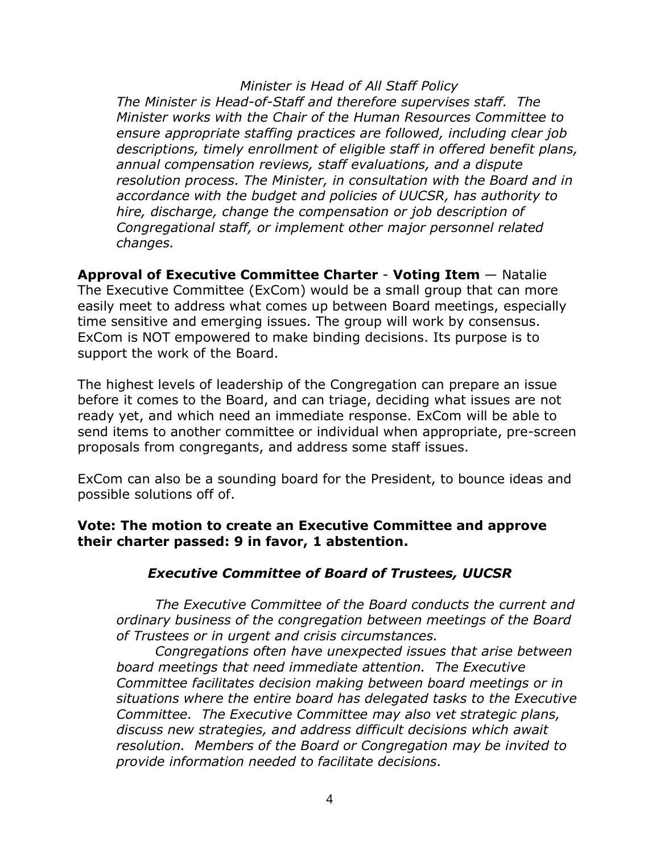*Minister is Head of All Staff Policy The Minister is Head-of-Staff and therefore supervises staff. The Minister works with the Chair of the Human Resources Committee to ensure appropriate staffing practices are followed, including clear job descriptions, timely enrollment of eligible staff in offered benefit plans, annual compensation reviews, staff evaluations, and a dispute resolution process. The Minister, in consultation with the Board and in accordance with the budget and policies of UUCSR, has authority to hire, discharge, change the compensation or job description of Congregational staff, or implement other major personnel related changes.*

**Approval of Executive Committee Charter** - **Voting Item** — Natalie The Executive Committee (ExCom) would be a small group that can more easily meet to address what comes up between Board meetings, especially time sensitive and emerging issues. The group will work by consensus. ExCom is NOT empowered to make binding decisions. Its purpose is to support the work of the Board.

The highest levels of leadership of the Congregation can prepare an issue before it comes to the Board, and can triage, deciding what issues are not ready yet, and which need an immediate response. ExCom will be able to send items to another committee or individual when appropriate, pre-screen proposals from congregants, and address some staff issues.

ExCom can also be a sounding board for the President, to bounce ideas and possible solutions off of.

#### **Vote: The motion to create an Executive Committee and approve their charter passed: 9 in favor, 1 abstention.**

# *Executive Committee of Board of Trustees, UUCSR*

*The Executive Committee of the Board conducts the current and ordinary business of the congregation between meetings of the Board of Trustees or in urgent and crisis circumstances.*

*Congregations often have unexpected issues that arise between board meetings that need immediate attention. The Executive Committee facilitates decision making between board meetings or in situations where the entire board has delegated tasks to the Executive Committee. The Executive Committee may also vet strategic plans, discuss new strategies, and address difficult decisions which await resolution. Members of the Board or Congregation may be invited to provide information needed to facilitate decisions.*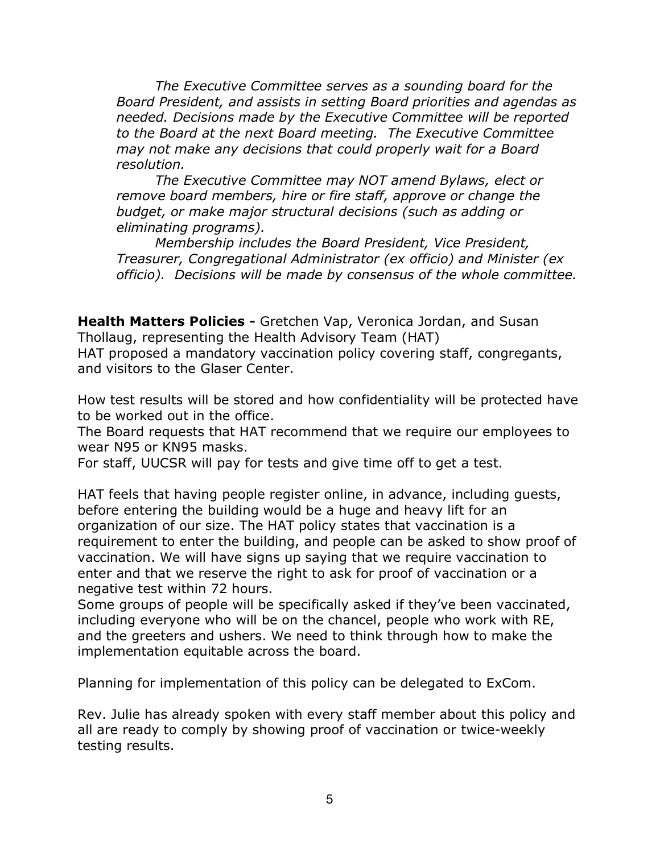*The Executive Committee serves as a sounding board for the Board President, and assists in setting Board priorities and agendas as needed. Decisions made by the Executive Committee will be reported to the Board at the next Board meeting. The Executive Committee may not make any decisions that could properly wait for a Board resolution.*

*The Executive Committee may NOT amend Bylaws, elect or remove board members, hire or fire staff, approve or change the budget, or make major structural decisions (such as adding or eliminating programs).*

*Membership includes the Board President, Vice President, Treasurer, Congregational Administrator (ex officio) and Minister (ex officio). Decisions will be made by consensus of the whole committee.*

**Health Matters Policies -** Gretchen Vap, Veronica Jordan, and Susan Thollaug, representing the Health Advisory Team (HAT) HAT proposed a mandatory vaccination policy covering staff, congregants, and visitors to the Glaser Center.

How test results will be stored and how confidentiality will be protected have to be worked out in the office.

The Board requests that HAT recommend that we require our employees to wear N95 or KN95 masks.

For staff, UUCSR will pay for tests and give time off to get a test.

HAT feels that having people register online, in advance, including guests, before entering the building would be a huge and heavy lift for an organization of our size. The HAT policy states that vaccination is a requirement to enter the building, and people can be asked to show proof of vaccination. We will have signs up saying that we require vaccination to enter and that we reserve the right to ask for proof of vaccination or a negative test within 72 hours.

Some groups of people will be specifically asked if they've been vaccinated, including everyone who will be on the chancel, people who work with RE, and the greeters and ushers. We need to think through how to make the implementation equitable across the board.

Planning for implementation of this policy can be delegated to ExCom.

Rev. Julie has already spoken with every staff member about this policy and all are ready to comply by showing proof of vaccination or twice-weekly testing results.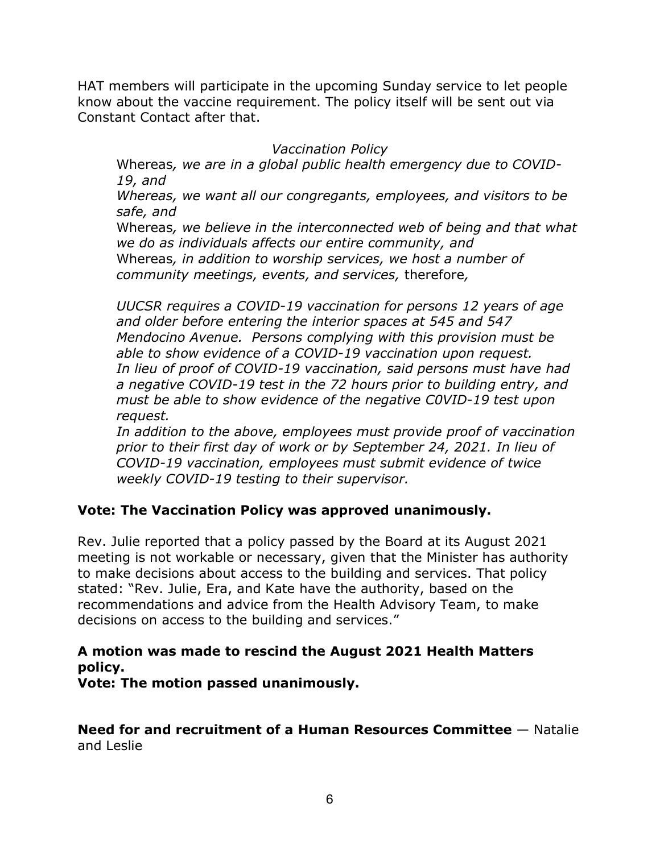HAT members will participate in the upcoming Sunday service to let people know about the vaccine requirement. The policy itself will be sent out via Constant Contact after that.

#### *Vaccination Policy*

Whereas*, we are in a global public health emergency due to COVID-19, and*

*Whereas, we want all our congregants, employees, and visitors to be safe, and*

Whereas*, we believe in the interconnected web of being and that what we do as individuals affects our entire community, and* Whereas*, in addition to worship services, we host a number of community meetings, events, and services,* therefore*,*

*UUCSR requires a COVID-19 vaccination for persons 12 years of age and older before entering the interior spaces at 545 and 547 Mendocino Avenue. Persons complying with this provision must be able to show evidence of a COVID-19 vaccination upon request. In lieu of proof of COVID-19 vaccination, said persons must have had a negative COVID-19 test in the 72 hours prior to building entry, and must be able to show evidence of the negative C0VID-19 test upon request.*

*In addition to the above, employees must provide proof of vaccination prior to their first day of work or by September 24, 2021. In lieu of COVID-19 vaccination, employees must submit evidence of twice weekly COVID-19 testing to their supervisor.*

# **Vote: The Vaccination Policy was approved unanimously.**

Rev. Julie reported that a policy passed by the Board at its August 2021 meeting is not workable or necessary, given that the Minister has authority to make decisions about access to the building and services. That policy stated: "Rev. Julie, Era, and Kate have the authority, based on the recommendations and advice from the Health Advisory Team, to make decisions on access to the building and services."

# **A motion was made to rescind the August 2021 Health Matters policy.**

**Vote: The motion passed unanimously.**

**Need for and recruitment of a Human Resources Committee** — Natalie and Leslie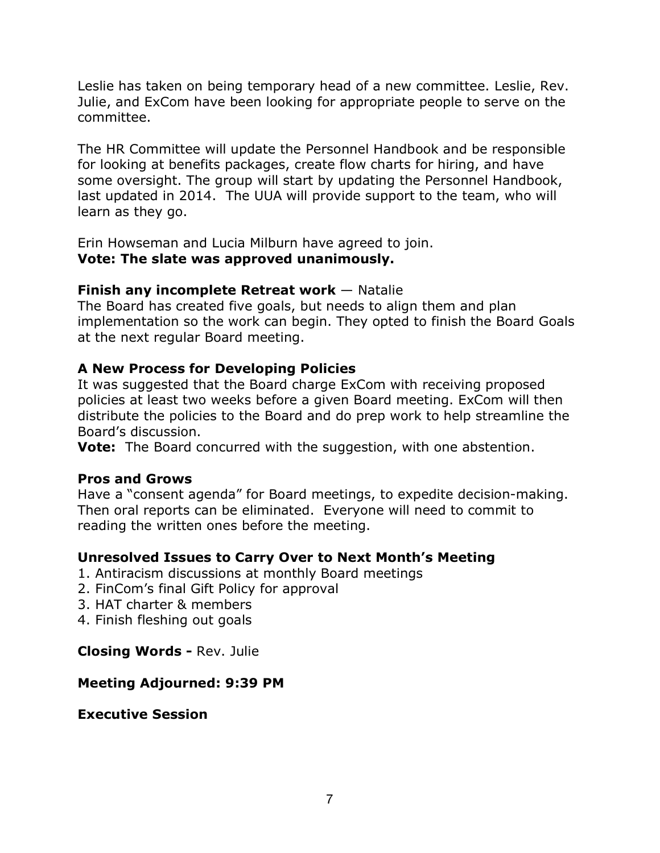Leslie has taken on being temporary head of a new committee. Leslie, Rev. Julie, and ExCom have been looking for appropriate people to serve on the committee.

The HR Committee will update the Personnel Handbook and be responsible for looking at benefits packages, create flow charts for hiring, and have some oversight. The group will start by updating the Personnel Handbook, last updated in 2014. The UUA will provide support to the team, who will learn as they go.

Erin Howseman and Lucia Milburn have agreed to join. **Vote: The slate was approved unanimously.**

#### **Finish any incomplete Retreat work** — Natalie

The Board has created five goals, but needs to align them and plan implementation so the work can begin. They opted to finish the Board Goals at the next regular Board meeting.

## **A New Process for Developing Policies**

It was suggested that the Board charge ExCom with receiving proposed policies at least two weeks before a given Board meeting. ExCom will then distribute the policies to the Board and do prep work to help streamline the Board's discussion.

**Vote:** The Board concurred with the suggestion, with one abstention.

#### **Pros and Grows**

Have a "consent agenda" for Board meetings, to expedite decision-making. Then oral reports can be eliminated. Everyone will need to commit to reading the written ones before the meeting.

#### **Unresolved Issues to Carry Over to Next Month's Meeting**

- 1. Antiracism discussions at monthly Board meetings
- 2. FinCom's final Gift Policy for approval
- 3. HAT charter & members
- 4. Finish fleshing out goals

#### **Closing Words -** Rev. Julie

#### **Meeting Adjourned: 9:39 PM**

#### **Executive Session**